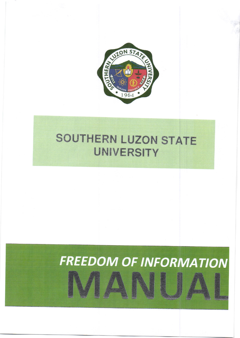

## SOUTHERN LUZON STATE **UNIVERSITY**

# **FREEDOM OF INFORMATION**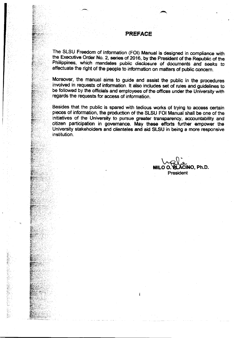#### **PREFACE**

The SLSU Freedom of Information (FOI) Manual is designed in compliance with the Executive Order No. 2, series of 2016, by the President of the Republic of the Philippines, which mandates public disclosure of documents and seeks to effectuate the right of the people to information on matters of public concern.

Moreover, the manual aims to guide and assist the public in the procedures involved in requests of information. It also includes set of rules and guidelines to be followed by the officials and employees of the offices under the University with regards the requests for access of information.

Besides that the public is spared with tedious works of trying to access certain pieces of information, the production of the SLSU FOI Manual shall be one of the initiatives of the University to pursue greater transparency, accountability and citizen participation in governance. May these efforts further empower the University stakeholders and clienteles and aid SLSU in being a more responsive institution.

İ

INO. Ph.D. MILO O. President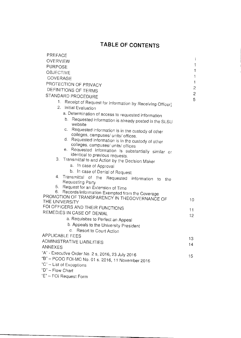### TABLE OF CONTENTS

| PREFACE                                                                                         |                |
|-------------------------------------------------------------------------------------------------|----------------|
| <b>OVERVIEW</b>                                                                                 | Ť              |
| <b>PURPOSE</b>                                                                                  | 1              |
| <b>OBJECTIVE</b>                                                                                | $\mathbf{1}$   |
| COVERAGE                                                                                        | 1              |
| PROTECTION OF PRIVACY                                                                           | $\mathbf{1}$   |
| DEFINITIONS OF TERMS                                                                            | $\overline{c}$ |
| STANDARD PROCEDURE                                                                              | $\overline{c}$ |
| 1.<br>Receipt of Request for Information by Receiving Officer]                                  | 5              |
| 2. Initial Evaluation                                                                           |                |
| a. Determination of access to requested information                                             |                |
| b. Requested information is already posted in the SLSU<br>website                               |                |
| С.<br>Requested information is in the custody of other                                          |                |
| colleges, campuses/ units/ offices.<br>d.                                                       |                |
| Requested information is in the custody of other<br>colleges, campuses/ units/ offices          |                |
| е.<br>Requested information is substantially similar or                                         |                |
| identical to previous requests.                                                                 |                |
| 3 <sub>1</sub><br>Transmittal to and Action by the Decision Maker                               |                |
| a. In case of Approval                                                                          |                |
| b. In case of Denial of Request                                                                 |                |
| 4. Transmittal of the<br>Requested Information<br>to.<br>the                                    |                |
| Requesting Party                                                                                |                |
| 5.<br>Request for an Extension of Time<br>6.                                                    |                |
| Records/Information Exempted from the Coverage<br>PROMOTION OF TRANSPARENCY IN THEGOVERNANCE OF |                |
| THE UNIVERSITY                                                                                  | 10             |
| FOI OFFICERS AND THEIR FUNCTIONS                                                                | 11             |
| REMEDIES IN CASE OF DENIAL                                                                      | 12             |
| a. Requisites to Perfect an Appeal                                                              |                |
| b. Appeals to the University President                                                          |                |
| Resort to Court Action<br>С.                                                                    |                |
| <b>APPLICABLE FEES</b>                                                                          | 13             |
| ADMINISTRATIVE LIABILITIES                                                                      | 14             |
| ANNEXES                                                                                         |                |
| "A" - Executive Order No. 2 s, 2016, 23 July 2016                                               | 15             |
| "B" - PCOO FOI-MC No. 01 s. 2016, 11 November 2016                                              |                |
| "C" - List of Exceptions                                                                        |                |
| "D" - Flow Chart                                                                                |                |

'E' - FOI Request Form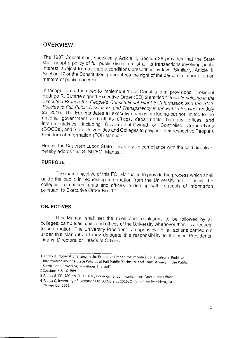#### **OVERVIEW**

The 1987 Constitution, specifically Article II, Section 28 provides that the State shali adopt a policy of full public disclosure of all its transactions involving public interest, subject to reasonable conditions prescribed by law. Similarly, Article III, Section 17 of the constitution, guarantees the right of the people to information on matters of public concern.

In recognition of the need to implement these Constitutional provisions, President<br>Rodrigo R. Duterte signed Executive Order (EO) 2 entitled "Operationalizing in the Executive Branch the People's Constitutional Right to Information and the State<br>Policies to Full Public Disclosure and Transparency in the Public Service" on July 23, 2016. The EO mandates all executive offices, including but not limited to the national government and all its offices, departments, bureaus, offices, and instrumentalities, including Government-Owned or Controlled Corp Freedom of Information (FOI) Manuals.

Hence, the southern Luzon State University, in compliance with the said directive, hereby adopts this SLSU/FOt Manual.

#### PURPOSE

The main objective of this FOI Manual is to provide the process which shall guide the public in requesting information from the University and to assist the colleges, campuses, units and offices in dealing with requests of pursuant to Executive Order No. 02.

#### **OBJECTIVES**

This Manual shall set the rules and regulations to be followed by all colleges, campuses, units and offices of the University whenever there is a request for information. The University President is responsible for all actions carried out under this Manual and may delegate this responsibility to the Vice presidents, Deans, Directors, or Heads of Offices.

<sup>1</sup> Annex A: "Operationalizing in the Executive Branch the People's Constitutional Right to Information and the State Policies of Full Public Disclosure and Transparency in the Public Service and Providing Guidelines Thereof"

<sup>2</sup> Sections 8 & 16, ibid.

<sup>3</sup>Annex B. FOI-MC No. 01s. 2016, presidential Communjcations Operations Office

<sup>4</sup> Annex C, Inventory of Exceptions to EO No.2, s. 2016; Office of the President; 24 November 2016.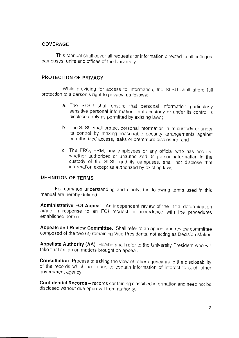#### COVERAGE

This Manual shall cover all requests for information directed to all colleqes. campuses, units and offices of the University.

#### PROTECTION OF PRIVACY

While providing for access to information, the SLSU shall afford full protection to a person's right to privacy, as follows:

- a. The SLSU shall ensure that personal information particularly sensitive personal information, in its custody or under its control is disclosed only as permitted by existing laws;
- b. The SLSU shall protect personal information in its custody or under its control by making reasonable security arrangements against unauthorized access, leaks or premature disclosure; and
- c. The FRO, FRM, any employees or any official who has access, whether authorized or unauthorized, to person information in the custody of the SLSU and its campuses, shall not disclose that information except as authorized by existing laws.

#### DEFINITION OF TERMS

For common understanding and clarity, the following terms used in this manual are hereby defined:

Administrative FOI Appeal. An independent review of the initial determination made in response to an FOI request in accordance with the procedures established herein

Appeals and Review Committee. Shall refer to an appeal and review committee composed of the two (2) remaining Vice presidents, not acting as Decision Maker.

Appellate Authority (AA). He/she shall refer to the University President who will take final action on matters brought on appeal.

consultation. Process of asking the view of other agency as to the disclosabiliry of the records which are found to contain information of interest to such other government agency.

Confidential Records - records containing classified information and need not be disclosed without due approval from authority.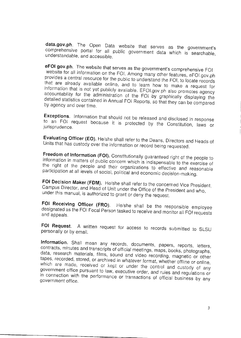data.gov.ph. The Open Data website that serves as the government's comprehensive portal for all public government data which is searchable, understandable, and accessible.

eFOI gov.ph. The website that serves as the government's comprehensive FOI website for all information on the FOI. Among many other features, eFOI.gov.ph provides a central resource for the public to understand the FOI, to locate records that are already available online, and to learn how to make a request for information that is not yet publicly available. EFOI gov ph also promotes agency accountability for the administration of the FOI by graphically displaying the detailed statistics contained in Annual FOI Reports, so that they can be compared by agency and over time.

Exceptions. Information that should not be released and disclosed in response to an FOI request because it is protected by the Constitution, laws or jurisprudence.

Evaluating Officer (EO). He/she shall refer to the Deans, Directors and Heads of Units that has custody over the information or record being requested.

Freedom of Information (FOI). Constitutionally guaranteed right of the people to information in matters of public concern which is indispensable to the exercise of the right of the people and their organizations to effective and reasonable participation at all levels of social, political and economic decision-making.

FOI Decision Maker (FDM). He/she shall refer to the concerned Vice President, Campus Director, and Head of Unit under the Office of the President and who, under this manual, is authorized to grant or deny the request.

FOI Receiving Officer (FRO). He/she shall be the responsible employee designated as the FOI Focal Person tasked to receive and monitor all FOI requests and appeals.

FOI Request. A written request for access to records submitted to SLSU personally or by email.

Information. Shall mean any records, documents, papers, reports, letters, contracts, minutes and transcripts of official meetings, maps, books, photographs, data, research materials, films, sound and video recording, magnetic or other tapes, recorded, stored, or archived in whatever format, whether offline or online, which are made, received or kept or under the control and custody of any government office pursuant to law, executive order, and rules and regulations or in connection with the performance or transactions of official business by any government office.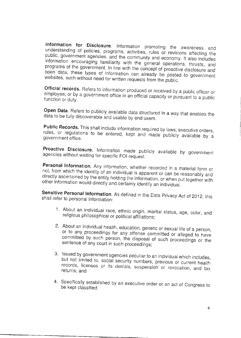Information for Disclosure. Information promoting the awareness and understanding of policies, programs, activities, rules or revisions affecting the public, government agencies, and the community and economy. It also includes information encouraging familiarity with the general operations, thrusts, and programs of the government. In line with the concept of proactive disclosure and open data, these types of information can already be posted to government websites, such without need for written requests from the public.

Official records. Refers to information produced or received by a public officer or employee, or by a government office in an official capacity or pursuant to a public function or duty.

Open Data. Refers to publicly available data structured in a way that enables the data to be fully discoverable and usable by end users.

Public Records. This shall include information required by laws, executive orders, rules, or regulations to be entered, kept and made publicly available by a government office.

Proactive Disclosure. Information made publicly available by government agencies without waiting for specific FOI request.

Personal Information. Any information, whether recorded in a material form or not, from which the identity of an individual is apparent or can be reasonably and directly ascertained by the entity holding the information, or when put together with other information would directly and certainly identify an individual.

Sensitive Personal Information. As defined in the Data Privacy Act of 2012, this shall refer to personal information:

- 1. About an individual race, ethnic origin, marital status, age, color, and religious philosophical or political affiliations;
- 2. About an individual health, education, genetic or sexual life of a person, or to any proceedings for any offense committed or alleged to have committed by such person, the disposal of such proceedings or the sentence of any court in such proceedings;
- 3. Issued by government agencies peculiar to an individual which includes, but not limited to, social security numbers, previous or current health records, licenses or its denials, suspension or revocation, and tax returns; and
- 4. Specifically established by an executive order or an act of Congress to be kept classified.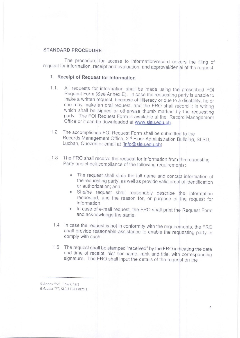#### STANDARD PROCEDURE

The procedure for access to information/record covers the filing of request for information, receipt and evaluation, and approval/denial of the request.

#### 1. Receipt of Request for Information

- 1.1. All requests for information shall be made using the prescribed FOI Request Form (See Annex E). In case the requesting party is unable to make a written request, because of illiteracy or due to a disability, he or she may make an oral request, and the FRO shall record it in writing which shall be signed or otherwise thumb marked by the requesting party. The FOI Request Form is available at the Record Management Office or it can be downloaded at www.slsu.edu.ph.
- 1,2 The accomplished FOI Request Form shall be submitted to the Records Management Office, 2nd Floor Administration Building, SLSU, Lucban, Quezon or email at (info@slsu.edu.ph).
- 1.3 The FRO shall receive the request for information from the requesting Party and check compliance of the following requirements:
	- . The request shall state the full name and contact information of the requesting party, as well as provide valid proof of identification or authorization; and
	- . She/he request shall reasonably describe the information requested, and the reason for, or purpose of the request for information.
	- . In case of e-mail request, the FRO shall print the Request Form and acknowledge the same.
- 1.4 In case the request is not in conformity with the requirements, the FRC shall provide reasonable assistance to enable the requesting party to comply with such.
- 1.5 The request shall be stamped "received" by the FRO indicating the date and time of receipt, his/ her name, rank and title, with corresponding signature. The FRO shall input the details of the request on the

5 Annex "D", Flow Chart

<sup>6</sup>Annex "E", SLSU FOI Form 1